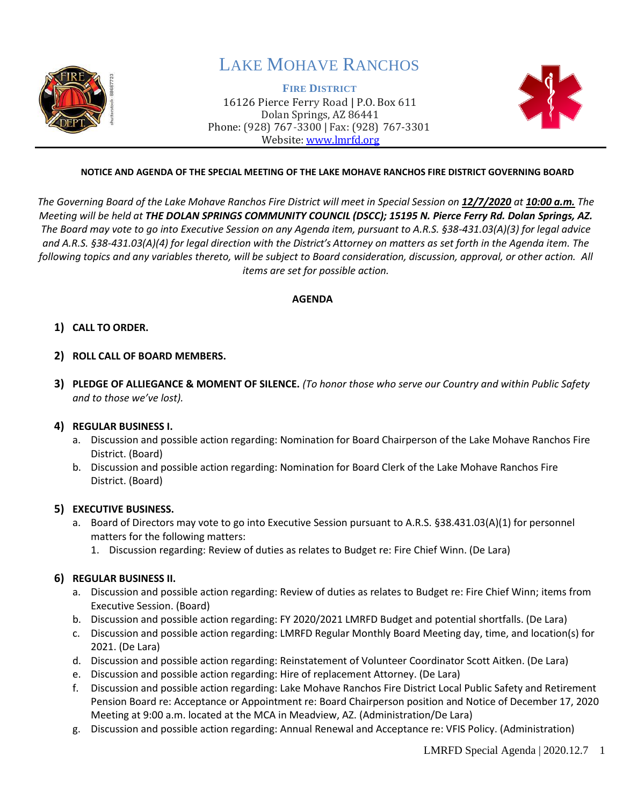

## LAKE MOHAVE RANCHOS

**FIRE DISTRICT** 16126 Pierce Ferry Road | P.O. Box 611 Dolan Springs, AZ 86441 Phone: (928) 767-3300 | Fax: (928) 767-3301 Website: [www.lmrfd.org](http://www.lmrfd.org/)



### **NOTICE AND AGENDA OF THE SPECIAL MEETING OF THE LAKE MOHAVE RANCHOS FIRE DISTRICT GOVERNING BOARD**

*The Governing Board of the Lake Mohave Ranchos Fire District will meet in Special Session on 12/7/2020 at 10:00 a.m. The Meeting will be held at THE DOLAN SPRINGS COMMUNITY COUNCIL (DSCC); 15195 N. Pierce Ferry Rd. Dolan Springs, AZ. The Board may vote to go into Executive Session on any Agenda item, pursuant to A.R.S. §38-431.03(A)(3) for legal advice and A.R.S. §38-431.03(A)(4) for legal direction with the District's Attorney on matters as set forth in the Agenda item. The following topics and any variables thereto, will be subject to Board consideration, discussion, approval, or other action. All items are set for possible action.*

#### **AGENDA**

### **1) CALL TO ORDER.**

- **2) ROLL CALL OF BOARD MEMBERS.**
- **3) PLEDGE OF ALLIEGANCE & MOMENT OF SILENCE.** *(To honor those who serve our Country and within Public Safety and to those we've lost).*

#### **4) REGULAR BUSINESS I.**

- a. Discussion and possible action regarding: Nomination for Board Chairperson of the Lake Mohave Ranchos Fire District. (Board)
- b. Discussion and possible action regarding: Nomination for Board Clerk of the Lake Mohave Ranchos Fire District. (Board)

#### **5) EXECUTIVE BUSINESS.**

- a. Board of Directors may vote to go into Executive Session pursuant to A.R.S. §38.431.03(A)(1) for personnel matters for the following matters:
	- 1. Discussion regarding: Review of duties as relates to Budget re: Fire Chief Winn. (De Lara)

#### **6) REGULAR BUSINESS II.**

- a. Discussion and possible action regarding: Review of duties as relates to Budget re: Fire Chief Winn; items from Executive Session. (Board)
- b. Discussion and possible action regarding: FY 2020/2021 LMRFD Budget and potential shortfalls. (De Lara)
- c. Discussion and possible action regarding: LMRFD Regular Monthly Board Meeting day, time, and location(s) for 2021. (De Lara)
- d. Discussion and possible action regarding: Reinstatement of Volunteer Coordinator Scott Aitken. (De Lara)
- e. Discussion and possible action regarding: Hire of replacement Attorney. (De Lara)
- f. Discussion and possible action regarding: Lake Mohave Ranchos Fire District Local Public Safety and Retirement Pension Board re: Acceptance or Appointment re: Board Chairperson position and Notice of December 17, 2020 Meeting at 9:00 a.m. located at the MCA in Meadview, AZ. (Administration/De Lara)
- g. Discussion and possible action regarding: Annual Renewal and Acceptance re: VFIS Policy. (Administration)